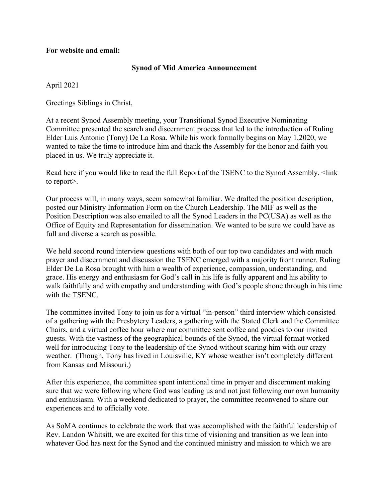## **For website and email:**

## **Synod of Mid America Announcement**

April 2021

Greetings Siblings in Christ,

At a recent Synod Assembly meeting, your Transitional Synod Executive Nominating Committee presented the search and discernment process that led to the introduction of Ruling Elder Luis Antonio (Tony) De La Rosa. While his work formally begins on May 1,2020, we wanted to take the time to introduce him and thank the Assembly for the honor and faith you placed in us. We truly appreciate it.

Read here if you would like to read the full Report of the TSENC to the Synod Assembly. <link to report>.

Our process will, in many ways, seem somewhat familiar. We drafted the position description, posted our Ministry Information Form on the Church Leadership. The MIF as well as the Position Description was also emailed to all the Synod Leaders in the PC(USA) as well as the Office of Equity and Representation for dissemination. We wanted to be sure we could have as full and diverse a search as possible.

We held second round interview questions with both of our top two candidates and with much prayer and discernment and discussion the TSENC emerged with a majority front runner. Ruling Elder De La Rosa brought with him a wealth of experience, compassion, understanding, and grace. His energy and enthusiasm for God's call in his life is fully apparent and his ability to walk faithfully and with empathy and understanding with God's people shone through in his time with the TSENC.

The committee invited Tony to join us for a virtual "in-person" third interview which consisted of a gathering with the Presbytery Leaders, a gathering with the Stated Clerk and the Committee Chairs, and a virtual coffee hour where our committee sent coffee and goodies to our invited guests. With the vastness of the geographical bounds of the Synod, the virtual format worked well for introducing Tony to the leadership of the Synod without scaring him with our crazy weather. (Though, Tony has lived in Louisville, KY whose weather isn't completely different from Kansas and Missouri.)

After this experience, the committee spent intentional time in prayer and discernment making sure that we were following where God was leading us and not just following our own humanity and enthusiasm. With a weekend dedicated to prayer, the committee reconvened to share our experiences and to officially vote.

As SoMA continues to celebrate the work that was accomplished with the faithful leadership of Rev. Landon Whitsitt, we are excited for this time of visioning and transition as we lean into whatever God has next for the Synod and the continued ministry and mission to which we are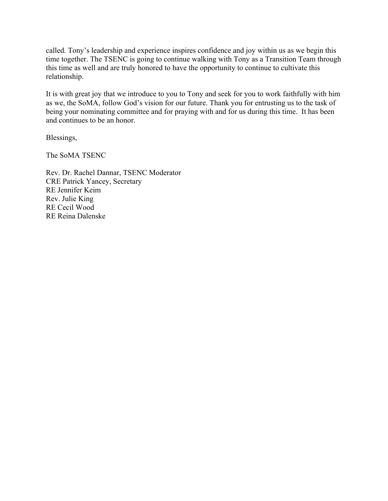called. Tony's leadership and experience inspires confidence and joy within us as we begin this time together. The TSENC is going to continue walking with Tony as a Transition Team through this time as well and are truly honored to have the opportunity to continue to cultivate this relationship.

It is with great joy that we introduce to you to Tony and seek for you to work faithfully with him as we, the SoMA, follow God's vision for our future. Thank you for entrusting us to the task of being your nominating committee and for praying with and for us during this time. It has been and continues to be an honor.

Blessings,

The SoMA TSENC

Rev. Dr. Rachel Dannar, TSENC Moderator CRE Patrick Yancey, Secretary RE Jennifer Keim Rev. Julie King RE Cecil Wood RE Reina Dalenske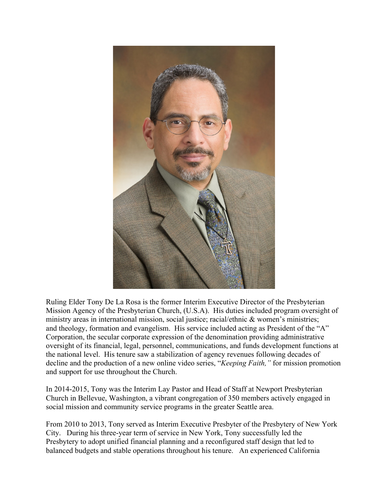

Ruling Elder Tony De La Rosa is the former Interim Executive Director of the Presbyterian Mission Agency of the Presbyterian Church, (U.S.A). His duties included program oversight of ministry areas in international mission, social justice; racial/ethnic & women's ministries; and theology, formation and evangelism. His service included acting as President of the "A" Corporation, the secular corporate expression of the denomination providing administrative oversight of its financial, legal, personnel, communications, and funds development functions at the national level. His tenure saw a stabilization of agency revenues following decades of decline and the production of a new online video series, "*Keeping Faith,"* for mission promotion and support for use throughout the Church.

In 2014-2015, Tony was the Interim Lay Pastor and Head of Staff at Newport Presbyterian Church in Bellevue, Washington, a vibrant congregation of 350 members actively engaged in social mission and community service programs in the greater Seattle area.

From 2010 to 2013, Tony served as Interim Executive Presbyter of the Presbytery of New York City. During his three-year term of service in New York, Tony successfully led the Presbytery to adopt unified financial planning and a reconfigured staff design that led to balanced budgets and stable operations throughout his tenure. An experienced California